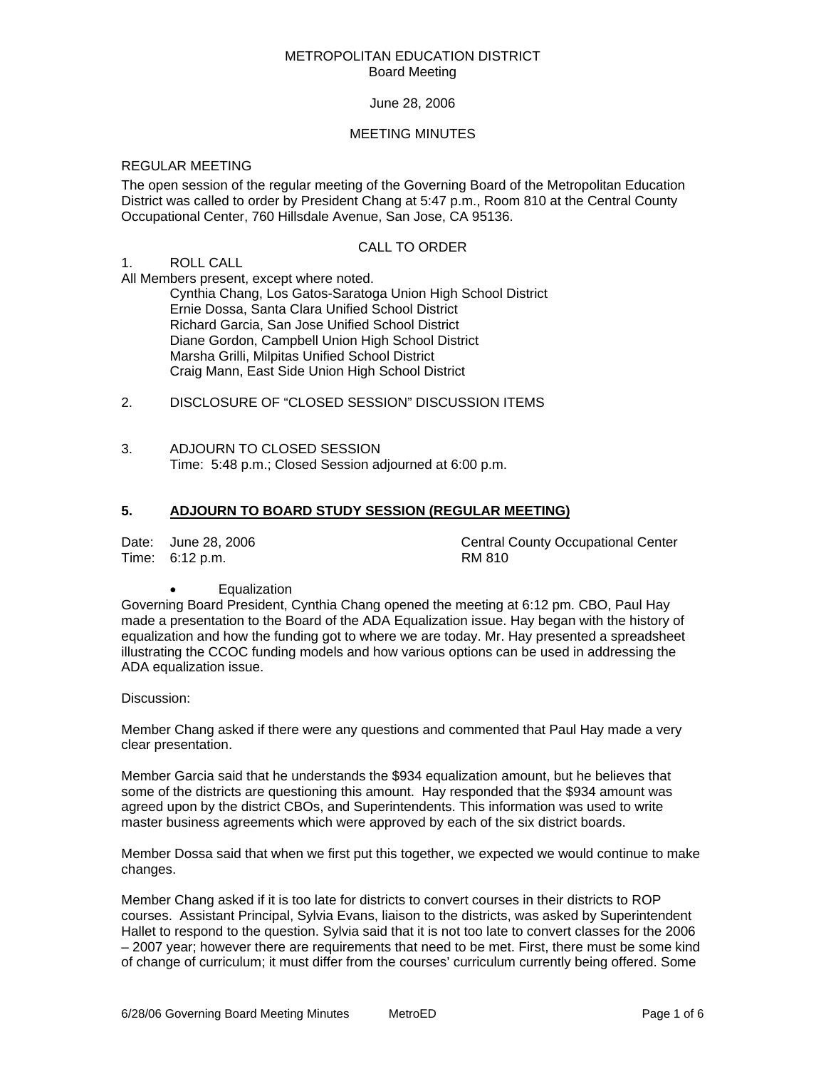#### METROPOLITAN EDUCATION DISTRICT Board Meeting

#### June 28, 2006

#### MEETING MINUTES

## REGULAR MEETING

The open session of the regular meeting of the Governing Board of the Metropolitan Education District was called to order by President Chang at 5:47 p.m., Room 810 at the Central County Occupational Center, 760 Hillsdale Avenue, San Jose, CA 95136.

#### CALL TO ORDER

#### 1. ROLL CALL

All Members present, except where noted.

 Cynthia Chang, Los Gatos-Saratoga Union High School District Ernie Dossa, Santa Clara Unified School District Richard Garcia, San Jose Unified School District Diane Gordon, Campbell Union High School District Marsha Grilli, Milpitas Unified School District Craig Mann, East Side Union High School District

## 2. DISCLOSURE OF "CLOSED SESSION" DISCUSSION ITEMS

3. ADJOURN TO CLOSED SESSION Time: 5:48 p.m.; Closed Session adjourned at 6:00 p.m.

# **5. ADJOURN TO BOARD STUDY SESSION (REGULAR MEETING)**

Time: 6:12 p.m. RM 810

Date: June 28, 2006 Central County Occupational Center

**Equalization** 

Governing Board President, Cynthia Chang opened the meeting at 6:12 pm. CBO, Paul Hay made a presentation to the Board of the ADA Equalization issue. Hay began with the history of equalization and how the funding got to where we are today. Mr. Hay presented a spreadsheet illustrating the CCOC funding models and how various options can be used in addressing the ADA equalization issue.

Discussion:

Member Chang asked if there were any questions and commented that Paul Hay made a very clear presentation.

Member Garcia said that he understands the \$934 equalization amount, but he believes that some of the districts are questioning this amount. Hay responded that the \$934 amount was agreed upon by the district CBOs, and Superintendents. This information was used to write master business agreements which were approved by each of the six district boards.

Member Dossa said that when we first put this together, we expected we would continue to make changes.

Member Chang asked if it is too late for districts to convert courses in their districts to ROP courses. Assistant Principal, Sylvia Evans, liaison to the districts, was asked by Superintendent Hallet to respond to the question. Sylvia said that it is not too late to convert classes for the 2006 – 2007 year; however there are requirements that need to be met. First, there must be some kind of change of curriculum; it must differ from the courses' curriculum currently being offered. Some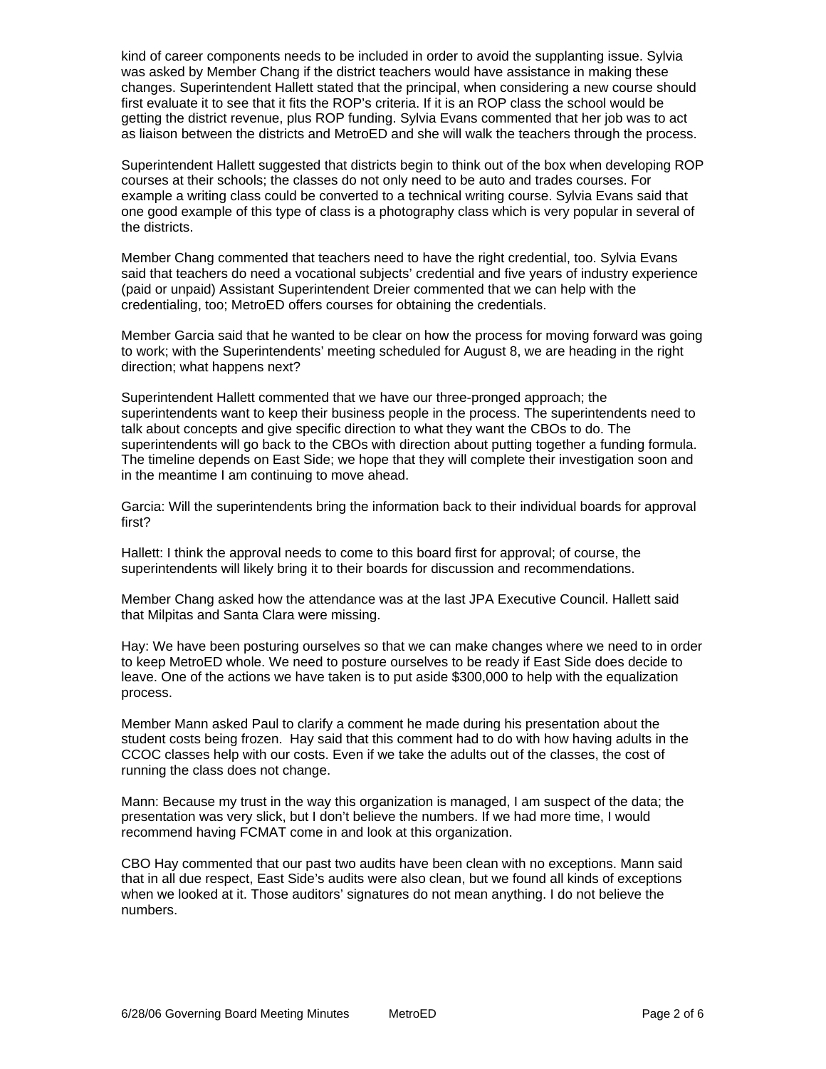kind of career components needs to be included in order to avoid the supplanting issue. Sylvia was asked by Member Chang if the district teachers would have assistance in making these changes. Superintendent Hallett stated that the principal, when considering a new course should first evaluate it to see that it fits the ROP's criteria. If it is an ROP class the school would be getting the district revenue, plus ROP funding. Sylvia Evans commented that her job was to act as liaison between the districts and MetroED and she will walk the teachers through the process.

Superintendent Hallett suggested that districts begin to think out of the box when developing ROP courses at their schools; the classes do not only need to be auto and trades courses. For example a writing class could be converted to a technical writing course. Sylvia Evans said that one good example of this type of class is a photography class which is very popular in several of the districts.

Member Chang commented that teachers need to have the right credential, too. Sylvia Evans said that teachers do need a vocational subjects' credential and five years of industry experience (paid or unpaid) Assistant Superintendent Dreier commented that we can help with the credentialing, too; MetroED offers courses for obtaining the credentials.

Member Garcia said that he wanted to be clear on how the process for moving forward was going to work; with the Superintendents' meeting scheduled for August 8, we are heading in the right direction; what happens next?

Superintendent Hallett commented that we have our three-pronged approach; the superintendents want to keep their business people in the process. The superintendents need to talk about concepts and give specific direction to what they want the CBOs to do. The superintendents will go back to the CBOs with direction about putting together a funding formula. The timeline depends on East Side; we hope that they will complete their investigation soon and in the meantime I am continuing to move ahead.

Garcia: Will the superintendents bring the information back to their individual boards for approval first?

Hallett: I think the approval needs to come to this board first for approval; of course, the superintendents will likely bring it to their boards for discussion and recommendations.

Member Chang asked how the attendance was at the last JPA Executive Council. Hallett said that Milpitas and Santa Clara were missing.

Hay: We have been posturing ourselves so that we can make changes where we need to in order to keep MetroED whole. We need to posture ourselves to be ready if East Side does decide to leave. One of the actions we have taken is to put aside \$300,000 to help with the equalization process.

Member Mann asked Paul to clarify a comment he made during his presentation about the student costs being frozen. Hay said that this comment had to do with how having adults in the CCOC classes help with our costs. Even if we take the adults out of the classes, the cost of running the class does not change.

Mann: Because my trust in the way this organization is managed, I am suspect of the data; the presentation was very slick, but I don't believe the numbers. If we had more time, I would recommend having FCMAT come in and look at this organization.

CBO Hay commented that our past two audits have been clean with no exceptions. Mann said that in all due respect, East Side's audits were also clean, but we found all kinds of exceptions when we looked at it. Those auditors' signatures do not mean anything. I do not believe the numbers.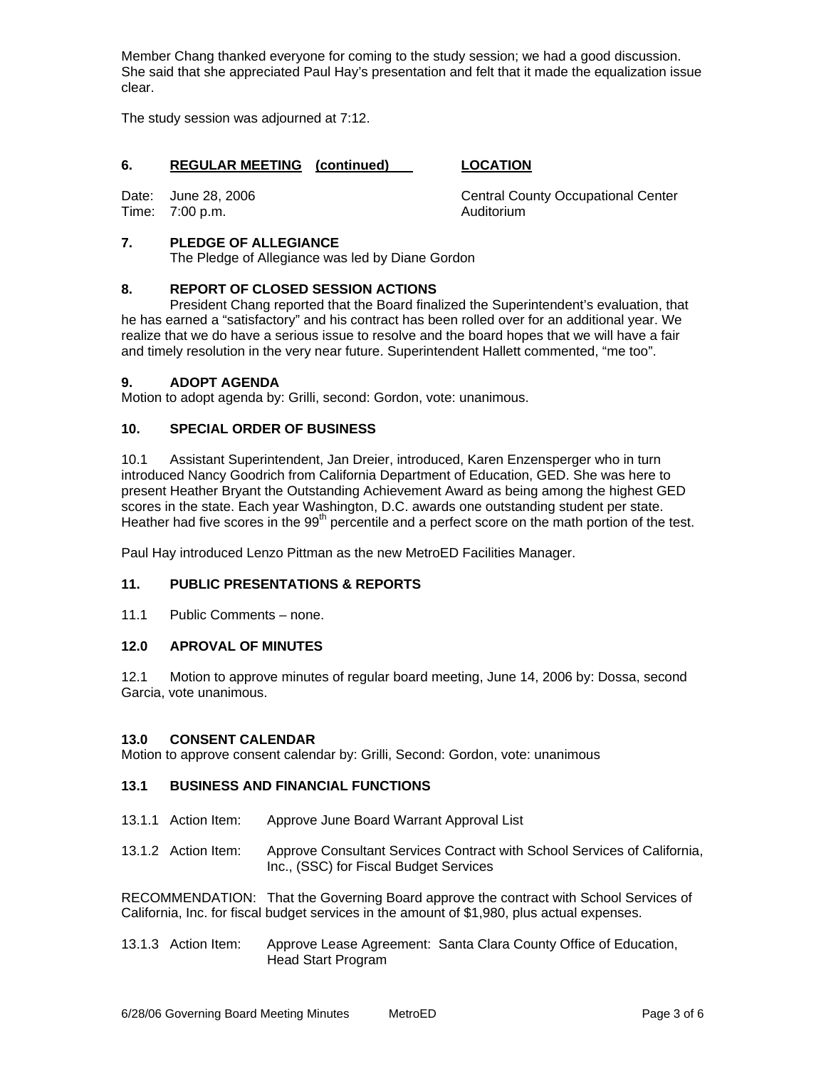Member Chang thanked everyone for coming to the study session; we had a good discussion. She said that she appreciated Paul Hay's presentation and felt that it made the equalization issue clear.

The study session was adjourned at 7:12.

# **6. REGULAR MEETING (continued) LOCATION**

Time: 7:00 p.m. Communication of the Auditorium

Date: June 28, 2006 Central County Occupational Center

# **7. PLEDGE OF ALLEGIANCE**

The Pledge of Allegiance was led by Diane Gordon

# **8. REPORT OF CLOSED SESSION ACTIONS**

 President Chang reported that the Board finalized the Superintendent's evaluation, that he has earned a "satisfactory" and his contract has been rolled over for an additional year. We realize that we do have a serious issue to resolve and the board hopes that we will have a fair and timely resolution in the very near future. Superintendent Hallett commented, "me too".

#### **9. ADOPT AGENDA**

Motion to adopt agenda by: Grilli, second: Gordon, vote: unanimous.

#### **10. SPECIAL ORDER OF BUSINESS**

10.1 Assistant Superintendent, Jan Dreier, introduced, Karen Enzensperger who in turn introduced Nancy Goodrich from California Department of Education, GED. She was here to present Heather Bryant the Outstanding Achievement Award as being among the highest GED scores in the state. Each year Washington, D.C. awards one outstanding student per state. Heather had five scores in the 99<sup>th</sup> percentile and a perfect score on the math portion of the test.

Paul Hay introduced Lenzo Pittman as the new MetroED Facilities Manager.

#### **11. PUBLIC PRESENTATIONS & REPORTS**

11.1 Public Comments – none.

# **12.0 APROVAL OF MINUTES**

12.1 Motion to approve minutes of regular board meeting, June 14, 2006 by: Dossa, second Garcia, vote unanimous.

#### **13.0 CONSENT CALENDAR**

Motion to approve consent calendar by: Grilli, Second: Gordon, vote: unanimous

#### **13.1 BUSINESS AND FINANCIAL FUNCTIONS**

- 13.1.1 Action Item: Approve June Board Warrant Approval List
- 13.1.2 Action Item: Approve Consultant Services Contract with School Services of California, Inc., (SSC) for Fiscal Budget Services

RECOMMENDATION: That the Governing Board approve the contract with School Services of California, Inc. for fiscal budget services in the amount of \$1,980, plus actual expenses.

13.1.3 Action Item: Approve Lease Agreement: Santa Clara County Office of Education, Head Start Program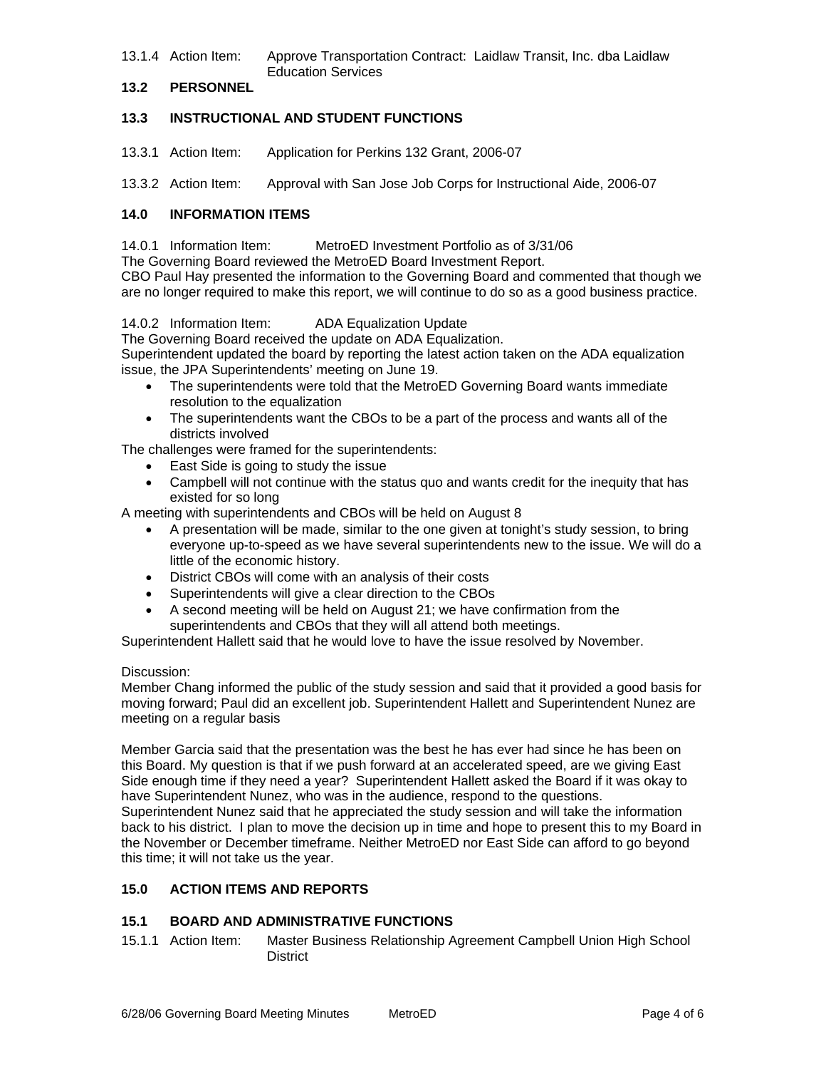13.1.4 Action Item: Approve Transportation Contract: Laidlaw Transit, Inc. dba Laidlaw Education Services

# **13.2 PERSONNEL**

# **13.3 INSTRUCTIONAL AND STUDENT FUNCTIONS**

13.3.1 Action Item: Application for Perkins 132 Grant, 2006-07

13.3.2 Action Item: Approval with San Jose Job Corps for Instructional Aide, 2006-07

# **14.0 INFORMATION ITEMS**

14.0.1 Information Item: MetroED Investment Portfolio as of 3/31/06

The Governing Board reviewed the MetroED Board Investment Report.

CBO Paul Hay presented the information to the Governing Board and commented that though we are no longer required to make this report, we will continue to do so as a good business practice.

#### 14.0.2 Information Item: ADA Equalization Update

The Governing Board received the update on ADA Equalization.

Superintendent updated the board by reporting the latest action taken on the ADA equalization issue, the JPA Superintendents' meeting on June 19.

- The superintendents were told that the MetroED Governing Board wants immediate resolution to the equalization
- The superintendents want the CBOs to be a part of the process and wants all of the districts involved

The challenges were framed for the superintendents:

- East Side is going to study the issue
- Campbell will not continue with the status quo and wants credit for the inequity that has existed for so long

A meeting with superintendents and CBOs will be held on August 8

- A presentation will be made, similar to the one given at tonight's study session, to bring everyone up-to-speed as we have several superintendents new to the issue. We will do a little of the economic history.
- District CBOs will come with an analysis of their costs
- Superintendents will give a clear direction to the CBOs
- A second meeting will be held on August 21; we have confirmation from the superintendents and CBOs that they will all attend both meetings.

Superintendent Hallett said that he would love to have the issue resolved by November.

#### Discussion:

Member Chang informed the public of the study session and said that it provided a good basis for moving forward; Paul did an excellent job. Superintendent Hallett and Superintendent Nunez are meeting on a regular basis

Member Garcia said that the presentation was the best he has ever had since he has been on this Board. My question is that if we push forward at an accelerated speed, are we giving East Side enough time if they need a year? Superintendent Hallett asked the Board if it was okay to have Superintendent Nunez, who was in the audience, respond to the questions. Superintendent Nunez said that he appreciated the study session and will take the information back to his district. I plan to move the decision up in time and hope to present this to my Board in the November or December timeframe. Neither MetroED nor East Side can afford to go beyond this time; it will not take us the year.

# **15.0 ACTION ITEMS AND REPORTS**

# **15.1 BOARD AND ADMINISTRATIVE FUNCTIONS**

15.1.1 Action Item: Master Business Relationship Agreement Campbell Union High School **District**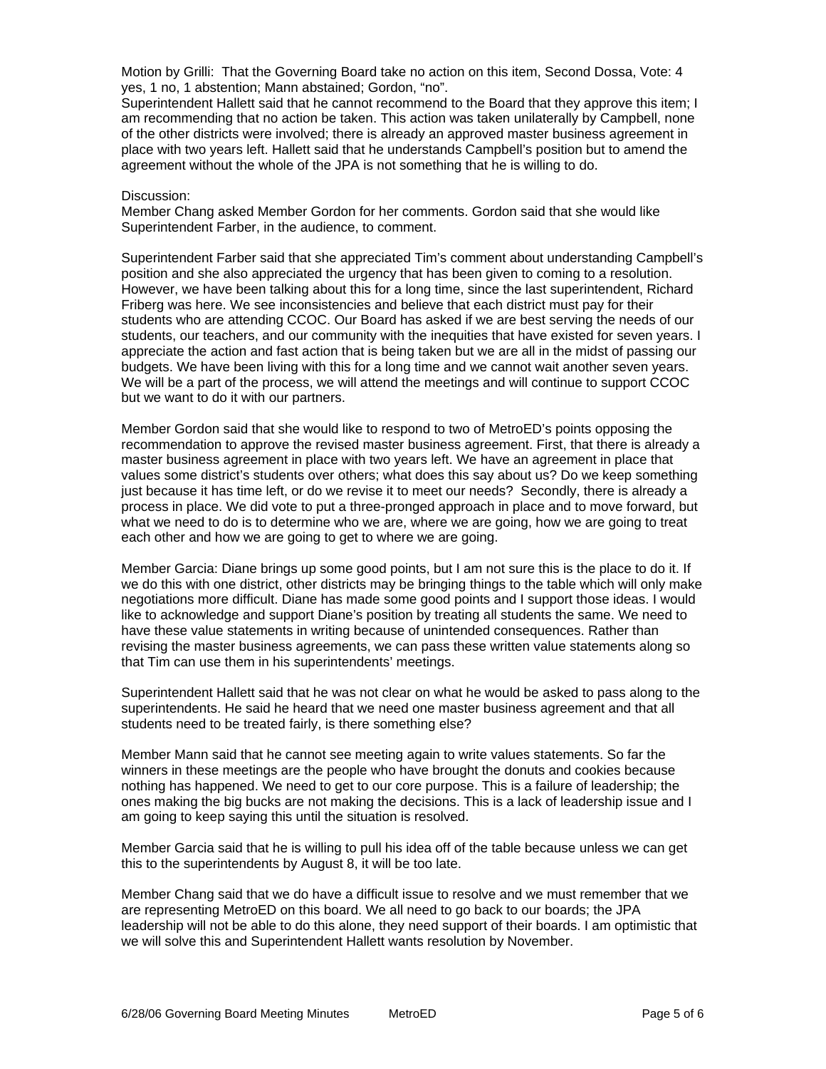Motion by Grilli: That the Governing Board take no action on this item, Second Dossa, Vote: 4 yes, 1 no, 1 abstention; Mann abstained; Gordon, "no".

Superintendent Hallett said that he cannot recommend to the Board that they approve this item; I am recommending that no action be taken. This action was taken unilaterally by Campbell, none of the other districts were involved; there is already an approved master business agreement in place with two years left. Hallett said that he understands Campbell's position but to amend the agreement without the whole of the JPA is not something that he is willing to do.

#### Discussion:

Member Chang asked Member Gordon for her comments. Gordon said that she would like Superintendent Farber, in the audience, to comment.

Superintendent Farber said that she appreciated Tim's comment about understanding Campbell's position and she also appreciated the urgency that has been given to coming to a resolution. However, we have been talking about this for a long time, since the last superintendent, Richard Friberg was here. We see inconsistencies and believe that each district must pay for their students who are attending CCOC. Our Board has asked if we are best serving the needs of our students, our teachers, and our community with the inequities that have existed for seven years. I appreciate the action and fast action that is being taken but we are all in the midst of passing our budgets. We have been living with this for a long time and we cannot wait another seven years. We will be a part of the process, we will attend the meetings and will continue to support CCOC but we want to do it with our partners.

Member Gordon said that she would like to respond to two of MetroED's points opposing the recommendation to approve the revised master business agreement. First, that there is already a master business agreement in place with two years left. We have an agreement in place that values some district's students over others; what does this say about us? Do we keep something just because it has time left, or do we revise it to meet our needs? Secondly, there is already a process in place. We did vote to put a three-pronged approach in place and to move forward, but what we need to do is to determine who we are, where we are going, how we are going to treat each other and how we are going to get to where we are going.

Member Garcia: Diane brings up some good points, but I am not sure this is the place to do it. If we do this with one district, other districts may be bringing things to the table which will only make negotiations more difficult. Diane has made some good points and I support those ideas. I would like to acknowledge and support Diane's position by treating all students the same. We need to have these value statements in writing because of unintended consequences. Rather than revising the master business agreements, we can pass these written value statements along so that Tim can use them in his superintendents' meetings.

Superintendent Hallett said that he was not clear on what he would be asked to pass along to the superintendents. He said he heard that we need one master business agreement and that all students need to be treated fairly, is there something else?

Member Mann said that he cannot see meeting again to write values statements. So far the winners in these meetings are the people who have brought the donuts and cookies because nothing has happened. We need to get to our core purpose. This is a failure of leadership; the ones making the big bucks are not making the decisions. This is a lack of leadership issue and I am going to keep saying this until the situation is resolved.

Member Garcia said that he is willing to pull his idea off of the table because unless we can get this to the superintendents by August 8, it will be too late.

Member Chang said that we do have a difficult issue to resolve and we must remember that we are representing MetroED on this board. We all need to go back to our boards; the JPA leadership will not be able to do this alone, they need support of their boards. I am optimistic that we will solve this and Superintendent Hallett wants resolution by November.